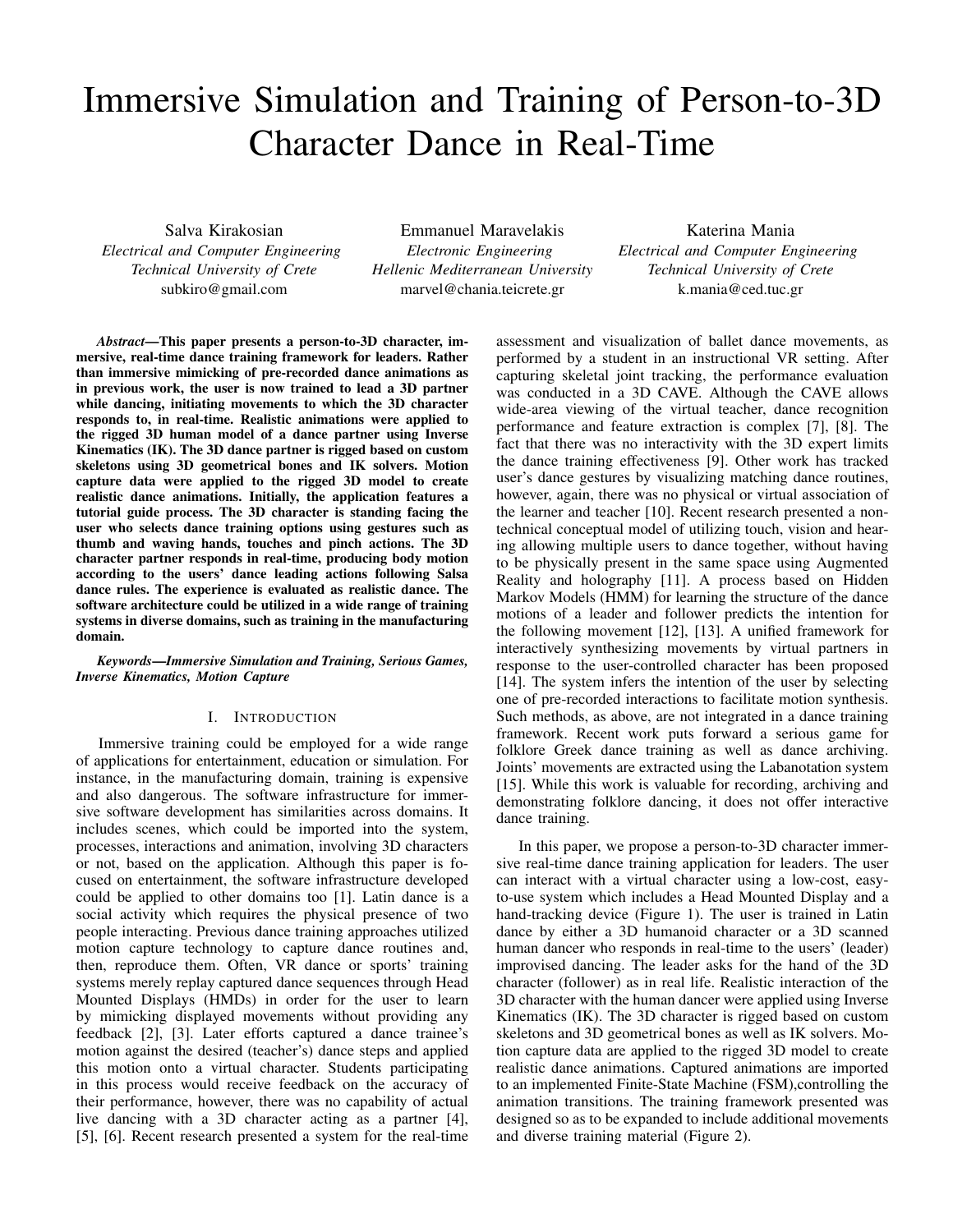# Immersive Simulation and Training of Person-to-3D Character Dance in Real-Time

Salva Kirakosian *Electrical and Computer Engineering Technical University of Crete* subkiro@gmail.com

Emmanuel Maravelakis *Electronic Engineering Hellenic Mediterranean University* marvel@chania.teicrete.gr

Katerina Mania *Electrical and Computer Engineering Technical University of Crete* k.mania@ced.tuc.gr

*Abstract*—This paper presents a person-to-3D character, immersive, real-time dance training framework for leaders. Rather than immersive mimicking of pre-recorded dance animations as in previous work, the user is now trained to lead a 3D partner while dancing, initiating movements to which the 3D character responds to, in real-time. Realistic animations were applied to the rigged 3D human model of a dance partner using Inverse Kinematics (IK). The 3D dance partner is rigged based on custom skeletons using 3D geometrical bones and IK solvers. Motion capture data were applied to the rigged 3D model to create realistic dance animations. Initially, the application features a tutorial guide process. The 3D character is standing facing the user who selects dance training options using gestures such as thumb and waving hands, touches and pinch actions. The 3D character partner responds in real-time, producing body motion according to the users' dance leading actions following Salsa dance rules. The experience is evaluated as realistic dance. The software architecture could be utilized in a wide range of training systems in diverse domains, such as training in the manufacturing domain.

*Keywords*—*Immersive Simulation and Training, Serious Games, Inverse Kinematics, Motion Capture*

#### I. INTRODUCTION

Immersive training could be employed for a wide range of applications for entertainment, education or simulation. For instance, in the manufacturing domain, training is expensive and also dangerous. The software infrastructure for immersive software development has similarities across domains. It includes scenes, which could be imported into the system, processes, interactions and animation, involving 3D characters or not, based on the application. Although this paper is focused on entertainment, the software infrastructure developed could be applied to other domains too [1]. Latin dance is a social activity which requires the physical presence of two people interacting. Previous dance training approaches utilized motion capture technology to capture dance routines and, then, reproduce them. Often, VR dance or sports' training systems merely replay captured dance sequences through Head Mounted Displays (HMDs) in order for the user to learn by mimicking displayed movements without providing any feedback [2], [3]. Later efforts captured a dance trainee's motion against the desired (teacher's) dance steps and applied this motion onto a virtual character. Students participating in this process would receive feedback on the accuracy of their performance, however, there was no capability of actual live dancing with a 3D character acting as a partner [4], [5], [6]. Recent research presented a system for the real-time assessment and visualization of ballet dance movements, as performed by a student in an instructional VR setting. After capturing skeletal joint tracking, the performance evaluation was conducted in a 3D CAVE. Although the CAVE allows wide-area viewing of the virtual teacher, dance recognition performance and feature extraction is complex [7], [8]. The fact that there was no interactivity with the 3D expert limits the dance training effectiveness [9]. Other work has tracked user's dance gestures by visualizing matching dance routines, however, again, there was no physical or virtual association of the learner and teacher [10]. Recent research presented a nontechnical conceptual model of utilizing touch, vision and hearing allowing multiple users to dance together, without having to be physically present in the same space using Augmented Reality and holography [11]. A process based on Hidden Markov Models (HMM) for learning the structure of the dance motions of a leader and follower predicts the intention for the following movement [12], [13]. A unified framework for interactively synthesizing movements by virtual partners in response to the user-controlled character has been proposed [14]. The system infers the intention of the user by selecting one of pre-recorded interactions to facilitate motion synthesis. Such methods, as above, are not integrated in a dance training framework. Recent work puts forward a serious game for folklore Greek dance training as well as dance archiving. Joints' movements are extracted using the Labanotation system [15]. While this work is valuable for recording, archiving and demonstrating folklore dancing, it does not offer interactive dance training.

In this paper, we propose a person-to-3D character immersive real-time dance training application for leaders. The user can interact with a virtual character using a low-cost, easyto-use system which includes a Head Mounted Display and a hand-tracking device (Figure 1). The user is trained in Latin dance by either a 3D humanoid character or a 3D scanned human dancer who responds in real-time to the users' (leader) improvised dancing. The leader asks for the hand of the 3D character (follower) as in real life. Realistic interaction of the 3D character with the human dancer were applied using Inverse Kinematics (IK). The 3D character is rigged based on custom skeletons and 3D geometrical bones as well as IK solvers. Motion capture data are applied to the rigged 3D model to create realistic dance animations. Captured animations are imported to an implemented Finite-State Machine (FSM),controlling the animation transitions. The training framework presented was designed so as to be expanded to include additional movements and diverse training material (Figure 2).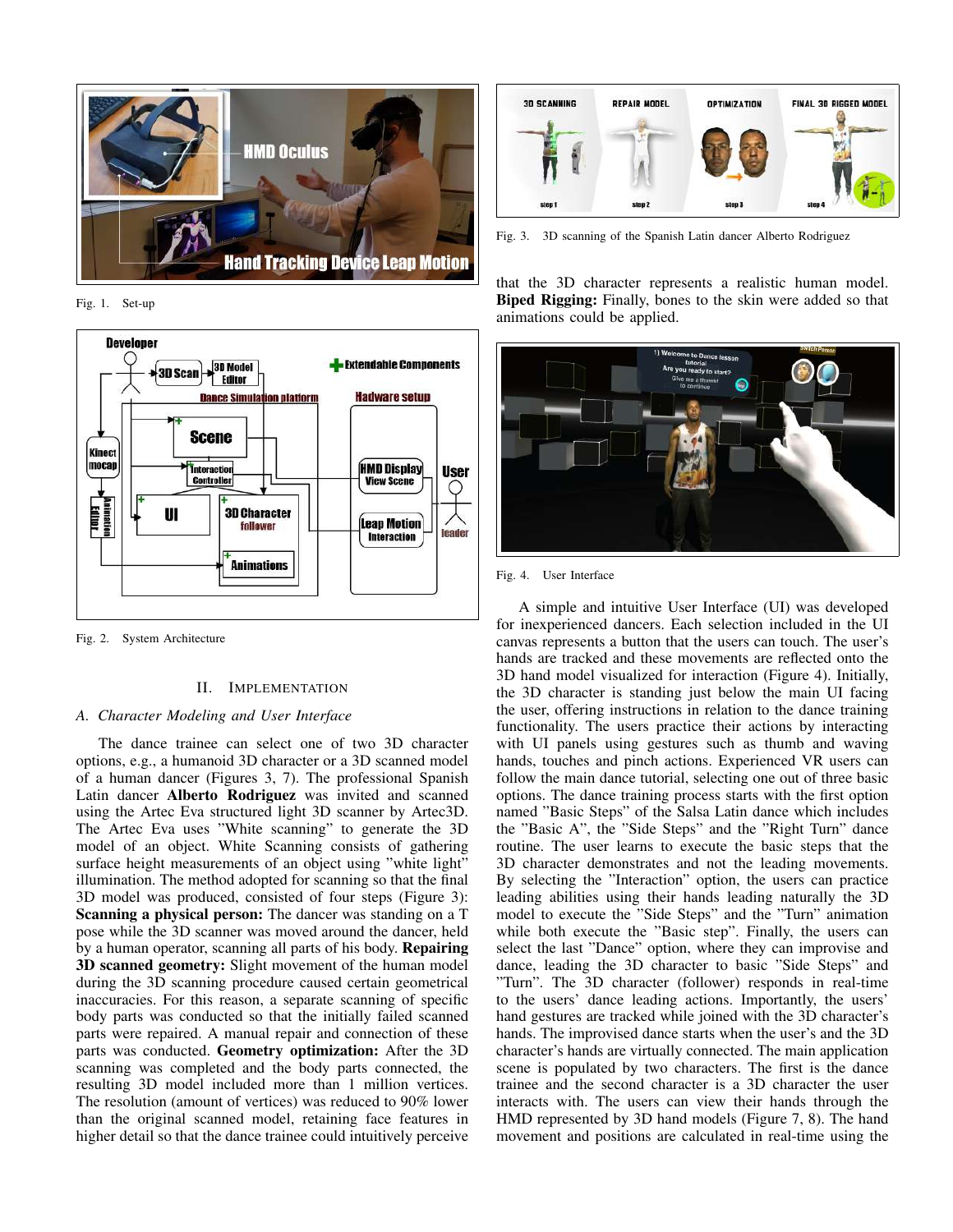

Fig. 1. Set-up



Fig. 2. System Architecture

#### II. IMPLEMENTATION

# *A. Character Modeling and User Interface*

The dance trainee can select one of two 3D character options, e.g., a humanoid 3D character or a 3D scanned model of a human dancer (Figures 3, 7). The professional Spanish Latin dancer Alberto Rodriguez was invited and scanned using the Artec Eva structured light 3D scanner by Artec3D. The Artec Eva uses "White scanning" to generate the 3D model of an object. White Scanning consists of gathering surface height measurements of an object using "white light" illumination. The method adopted for scanning so that the final 3D model was produced, consisted of four steps (Figure 3): Scanning a physical person: The dancer was standing on a T pose while the 3D scanner was moved around the dancer, held by a human operator, scanning all parts of his body. Repairing 3D scanned geometry: Slight movement of the human model during the 3D scanning procedure caused certain geometrical inaccuracies. For this reason, a separate scanning of specific body parts was conducted so that the initially failed scanned parts were repaired. A manual repair and connection of these parts was conducted. Geometry optimization: After the 3D scanning was completed and the body parts connected, the resulting 3D model included more than 1 million vertices. The resolution (amount of vertices) was reduced to 90% lower than the original scanned model, retaining face features in higher detail so that the dance trainee could intuitively perceive



Fig. 3. 3D scanning of the Spanish Latin dancer Alberto Rodriguez

that the 3D character represents a realistic human model. Biped Rigging: Finally, bones to the skin were added so that animations could be applied.



Fig. 4. User Interface

A simple and intuitive User Interface (UI) was developed for inexperienced dancers. Each selection included in the UI canvas represents a button that the users can touch. The user's hands are tracked and these movements are reflected onto the 3D hand model visualized for interaction (Figure 4). Initially, the 3D character is standing just below the main UI facing the user, offering instructions in relation to the dance training functionality. The users practice their actions by interacting with UI panels using gestures such as thumb and waving hands, touches and pinch actions. Experienced VR users can follow the main dance tutorial, selecting one out of three basic options. The dance training process starts with the first option named "Basic Steps" of the Salsa Latin dance which includes the "Basic A", the "Side Steps" and the "Right Turn" dance routine. The user learns to execute the basic steps that the 3D character demonstrates and not the leading movements. By selecting the "Interaction" option, the users can practice leading abilities using their hands leading naturally the 3D model to execute the "Side Steps" and the "Turn" animation while both execute the "Basic step". Finally, the users can select the last "Dance" option, where they can improvise and dance, leading the 3D character to basic "Side Steps" and "Turn". The 3D character (follower) responds in real-time to the users' dance leading actions. Importantly, the users' hand gestures are tracked while joined with the 3D character's hands. The improvised dance starts when the user's and the 3D character's hands are virtually connected. The main application scene is populated by two characters. The first is the dance trainee and the second character is a 3D character the user interacts with. The users can view their hands through the HMD represented by 3D hand models (Figure 7, 8). The hand movement and positions are calculated in real-time using the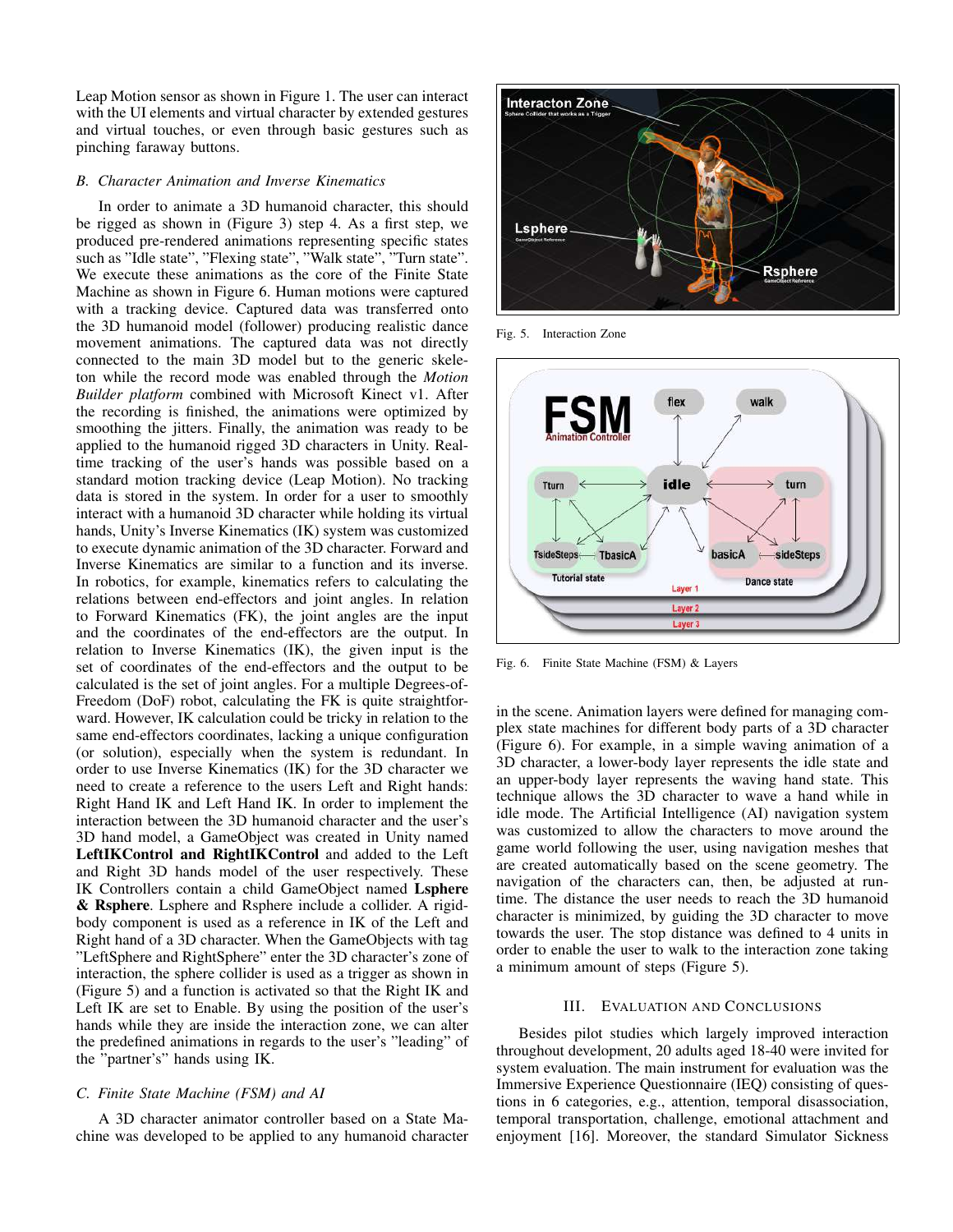Leap Motion sensor as shown in Figure 1. The user can interact with the UI elements and virtual character by extended gestures and virtual touches, or even through basic gestures such as pinching faraway buttons.

# *B. Character Animation and Inverse Kinematics*

In order to animate a 3D humanoid character, this should be rigged as shown in (Figure 3) step 4. As a first step, we produced pre-rendered animations representing specific states such as "Idle state", "Flexing state", "Walk state", "Turn state". We execute these animations as the core of the Finite State Machine as shown in Figure 6. Human motions were captured with a tracking device. Captured data was transferred onto the 3D humanoid model (follower) producing realistic dance movement animations. The captured data was not directly connected to the main 3D model but to the generic skeleton while the record mode was enabled through the *Motion Builder platform* combined with Microsoft Kinect v1. After the recording is finished, the animations were optimized by smoothing the jitters. Finally, the animation was ready to be applied to the humanoid rigged 3D characters in Unity. Realtime tracking of the user's hands was possible based on a standard motion tracking device (Leap Motion). No tracking data is stored in the system. In order for a user to smoothly interact with a humanoid 3D character while holding its virtual hands, Unity's Inverse Kinematics (IK) system was customized to execute dynamic animation of the 3D character. Forward and Inverse Kinematics are similar to a function and its inverse. In robotics, for example, kinematics refers to calculating the relations between end-effectors and joint angles. In relation to Forward Kinematics (FK), the joint angles are the input and the coordinates of the end-effectors are the output. In relation to Inverse Kinematics (IK), the given input is the set of coordinates of the end-effectors and the output to be calculated is the set of joint angles. For a multiple Degrees-of-Freedom (DoF) robot, calculating the FK is quite straightforward. However, IK calculation could be tricky in relation to the same end-effectors coordinates, lacking a unique configuration (or solution), especially when the system is redundant. In order to use Inverse Kinematics (IK) for the 3D character we need to create a reference to the users Left and Right hands: Right Hand IK and Left Hand IK. In order to implement the interaction between the 3D humanoid character and the user's 3D hand model, a GameObject was created in Unity named LeftIKControl and RightIKControl and added to the Left and Right 3D hands model of the user respectively. These IK Controllers contain a child GameObject named Lsphere & Rsphere. Lsphere and Rsphere include a collider. A rigidbody component is used as a reference in IK of the Left and Right hand of a 3D character. When the GameObjects with tag "LeftSphere and RightSphere" enter the 3D character's zone of interaction, the sphere collider is used as a trigger as shown in (Figure 5) and a function is activated so that the Right IK and Left IK are set to Enable. By using the position of the user's hands while they are inside the interaction zone, we can alter the predefined animations in regards to the user's "leading" of the "partner's" hands using IK.

### *C. Finite State Machine (FSM) and AI*

A 3D character animator controller based on a State Machine was developed to be applied to any humanoid character



Fig. 5. Interaction Zone



Fig. 6. Finite State Machine (FSM) & Layers

in the scene. Animation layers were defined for managing complex state machines for different body parts of a 3D character (Figure 6). For example, in a simple waving animation of a 3D character, a lower-body layer represents the idle state and an upper-body layer represents the waving hand state. This technique allows the 3D character to wave a hand while in idle mode. The Artificial Intelligence (AI) navigation system was customized to allow the characters to move around the game world following the user, using navigation meshes that are created automatically based on the scene geometry. The navigation of the characters can, then, be adjusted at runtime. The distance the user needs to reach the 3D humanoid character is minimized, by guiding the 3D character to move towards the user. The stop distance was defined to 4 units in order to enable the user to walk to the interaction zone taking a minimum amount of steps (Figure 5).

# III. EVALUATION AND CONCLUSIONS

Besides pilot studies which largely improved interaction throughout development, 20 adults aged 18-40 were invited for system evaluation. The main instrument for evaluation was the Immersive Experience Questionnaire (IEQ) consisting of questions in 6 categories, e.g., attention, temporal disassociation, temporal transportation, challenge, emotional attachment and enjoyment [16]. Moreover, the standard Simulator Sickness